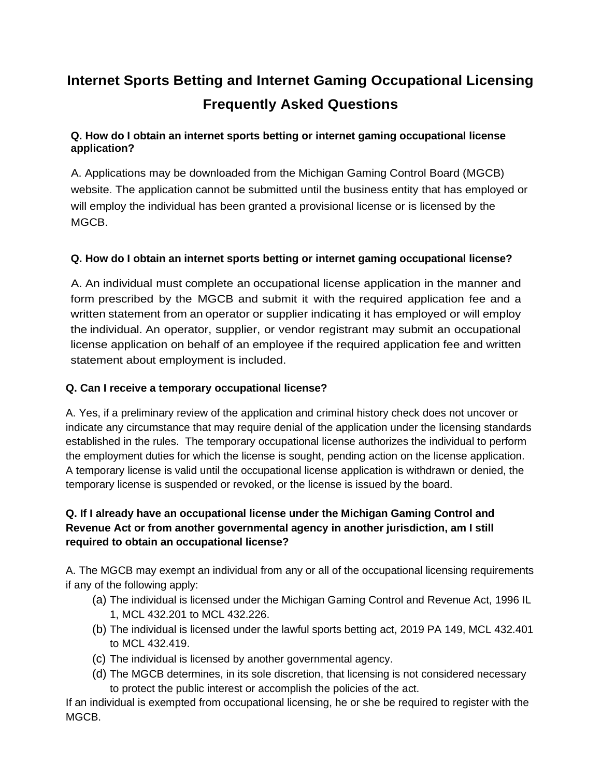# **Internet Sports Betting and Internet Gaming Occupational Licensing Frequently Asked Questions**

# **Q. How do I obtain an internet sports betting or internet gaming occupational license application?**

A. Applications may be downloaded from the Michigan Gaming Control Board (MGCB) website. The application cannot be submitted until the business entity that has employed or will employ the individual has been granted a provisional license or is licensed by the MGCB.

# **Q. How do I obtain an internet sports betting or internet gaming occupational license?**

A. An individual must complete an occupational license application in the manner and form prescribed by the MGCB and submit it with the required application fee and a written statement from an operator or supplier indicating it has employed or will employ the individual. An operator, supplier, or vendor registrant may submit an occupational license application on behalf of an employee if the required application fee and written statement about employment is included.

# **Q. Can I receive a temporary occupational license?**

A. Yes, if a preliminary review of the application and criminal history check does not uncover or indicate any circumstance that may require denial of the application under the licensing standards established in the rules. The temporary occupational license authorizes the individual to perform the employment duties for which the license is sought, pending action on the license application. A temporary license is valid until the occupational license application is withdrawn or denied, the temporary license is suspended or revoked, or the license is issued by the board.

# **Q. If I already have an occupational license under the Michigan Gaming Control and Revenue Act or from another governmental agency in another jurisdiction, am I still required to obtain an occupational license?**

A. The MGCB may exempt an individual from any or all of the occupational licensing requirements if any of the following apply:

- (a) The individual is licensed under the Michigan Gaming Control and Revenue Act, 1996 IL 1, MCL 432.201 to MCL 432.226.
- (b) The individual is licensed under the lawful sports betting act, 2019 PA 149, MCL 432.401 to MCL 432.419.
- (c) The individual is licensed by another governmental agency.
- (d) The MGCB determines, in its sole discretion, that licensing is not considered necessary to protect the public interest or accomplish the policies of the act.

If an individual is exempted from occupational licensing, he or she be required to register with the MGCB.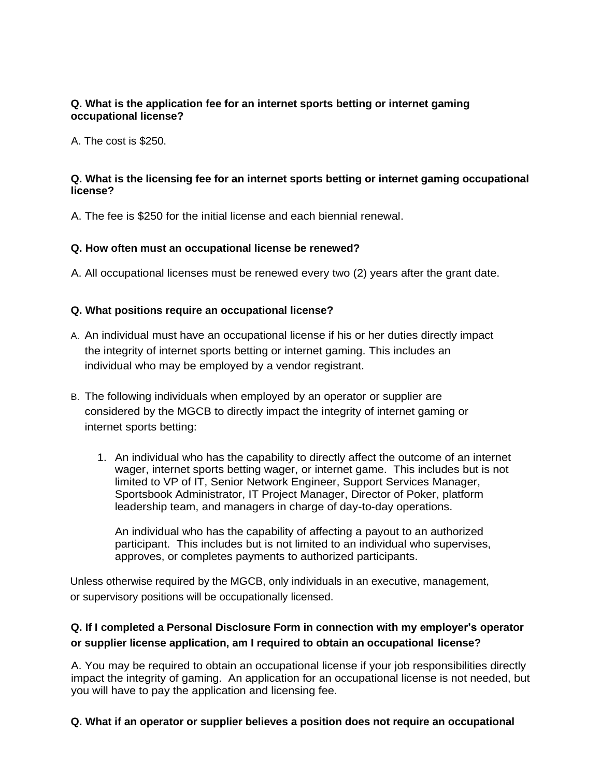#### **Q. What is the application fee for an internet sports betting or internet gaming occupational license?**

A. The cost is \$250.

#### **Q. What is the licensing fee for an internet sports betting or internet gaming occupational license?**

A. The fee is \$250 for the initial license and each biennial renewal.

#### **Q. How often must an occupational license be renewed?**

A. All occupational licenses must be renewed every two (2) years after the grant date.

#### **Q. What positions require an occupational license?**

- A. An individual must have an occupational license if his or her duties directly impact the integrity of internet sports betting or internet gaming. This includes an individual who may be employed by a vendor registrant.
- B. The following individuals when employed by an operator or supplier are considered by the MGCB to directly impact the integrity of internet gaming or internet sports betting:
	- 1. An individual who has the capability to directly affect the outcome of an internet wager, internet sports betting wager, or internet game. This includes but is not limited to VP of IT, Senior Network Engineer, Support Services Manager, Sportsbook Administrator, IT Project Manager, Director of Poker, platform leadership team, and managers in charge of day-to-day operations.

An individual who has the capability of affecting a payout to an authorized participant. This includes but is not limited to an individual who supervises, approves, or completes payments to authorized participants.

Unless otherwise required by the MGCB, only individuals in an executive, management, or supervisory positions will be occupationally licensed.

### **Q. If I completed a Personal Disclosure Form in connection with my employer's operator or supplier license application, am I required to obtain an occupational license?**

A. You may be required to obtain an occupational license if your job responsibilities directly impact the integrity of gaming. An application for an occupational license is not needed, but you will have to pay the application and licensing fee.

#### **Q. What if an operator or supplier believes a position does not require an occupational**